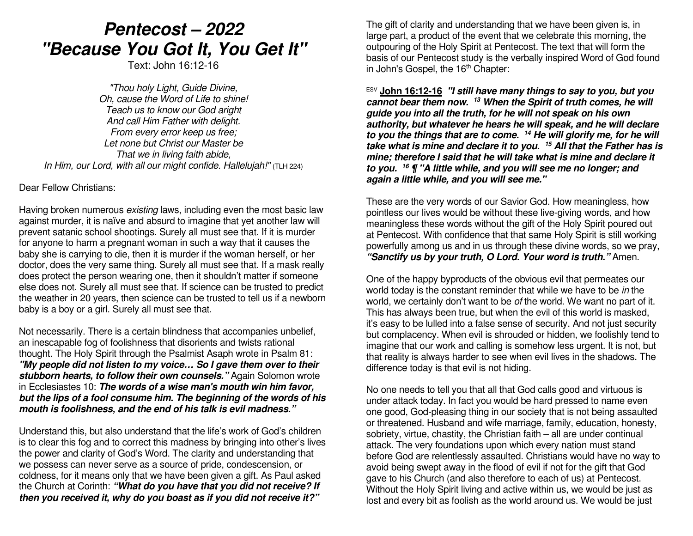## *Pentecost – 2022 "Because You Got It, You Get It"*

Text: John 16:12-16

*"Thou holy Light, Guide Divine, Oh, cause the Word of Life to shine! Teach us to know our God aright And call Him Father with delight. From every error keep us free; Let none but Christ our Master be That we in living faith abide, In Him, our Lord, with all our might confide. Hallelujah!"* (TLH 224)

Dear Fellow Christians:

Having broken numerous *existing* laws, including even the most basic law against murder, it is naïve and absurd to imagine that yet another law will prevent satanic school shootings. Surely all must see that. If it is murder for anyone to harm a pregnant woman in such a way that it causes the baby she is carrying to die, then it is murder if the woman herself, or her doctor, does the very same thing. Surely all must see that. If a mask really does protect the person wearing one, then it shouldn't matter if someone else does not. Surely all must see that. If science can be trusted to predict the weather in 20 years, then science can be trusted to tell us if a newborn baby is a boy or a girl. Surely all must see that.

Not necessarily. There is a certain blindness that accompanies unbelief, an inescapable fog of foolishness that disorients and twists rational thought. The Holy Spirit through the Psalmist Asaph wrote in Psalm 81: *"My people did not listen to my voice… So I gave them over to their stubborn hearts, to follow their own counsels."* Again Solomon wrote in Ecclesiastes 10: *The words of a wise man's mouth win him favor, but the lips of a fool consume him. The beginning of the words of his mouth is foolishness, and the end of his talk is evil madness."*

Understand this, but also understand that the life's work of God's children is to clear this fog and to correct this madness by bringing into other's lives the power and clarity of God's Word. The clarity and understanding that we possess can never serve as a source of pride, condescension, or coldness, for it means only that we have been given a gift. As Paul asked the Church at Corinth: *"What do you have that you did not receive? If then you received it, why do you boast as if you did not receive it?"*

The gift of clarity and understanding that we have been given is, in large part, a product of the event that we celebrate this morning, the outpouring of the Holy Spirit at Pentecost. The text that will form the basis of our Pentecost study is the verbally inspired Word of God found in John's Gospel, the  $16<sup>th</sup>$  Chapter:

ESV **John 16:12-16** *"I still have many things to say to you, but you cannot bear them now. <sup>13</sup> When the Spirit of truth comes, he will guide you into all the truth, for he will not speak on his own authority, but whatever he hears he will speak, and he will declare to you the things that are to come. 14 He will glorify me, for he will take what is mine and declare it to you. <sup>15</sup> All that the Father has is mine; therefore I said that he will take what is mine and declare it to you. <sup>16</sup> ¶ "A little while, and you will see me no longer; and again a little while, and you will see me."*

These are the very words of our Savior God. How meaningless, how pointless our lives would be without these live-giving words, and how meaningless these words without the gift of the Holy Spirit poured out at Pentecost. With confidence that that same Holy Spirit is still working powerfully among us and in us through these divine words, so we pray, *"Sanctify us by your truth, O Lord. Your word is truth."* Amen.

One of the happy byproducts of the obvious evil that permeates our world today is the constant reminder that while we have to be *in* the world, we certainly don't want to be *of* the world. We want no part of it. This has always been true, but when the evil of this world is masked, it's easy to be lulled into a false sense of security. And not just security but complacency. When evil is shrouded or hidden, we foolishly tend to imagine that our work and calling is somehow less urgent. It is not, but that reality is always harder to see when evil lives in the shadows. The difference today is that evil is not hiding.

No one needs to tell you that all that God calls good and virtuous is under attack today. In fact you would be hard pressed to name even one good, God-pleasing thing in our society that is not being assaulted or threatened. Husband and wife marriage, family, education, honesty, sobriety, virtue, chastity, the Christian faith – all are under continual attack. The very foundations upon which every nation must stand before God are relentlessly assaulted. Christians would have no way to avoid being swept away in the flood of evil if not for the gift that God gave to his Church (and also therefore to each of us) at Pentecost. Without the Holy Spirit living and active within us, we would be just as lost and every bit as foolish as the world around us. We would be just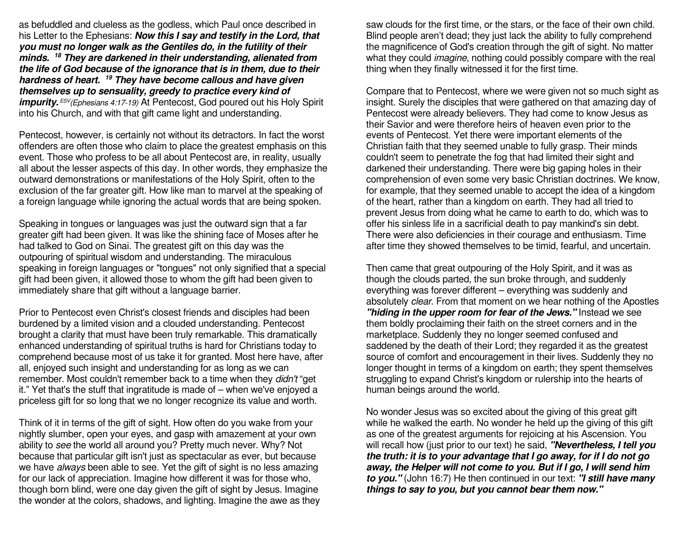as befuddled and clueless as the godless, which Paul once described in his Letter to the Ephesians: *Now this I say and testify in the Lord, that you must no longer walk as the Gentiles do, in the futility of their minds. <sup>18</sup> They are darkened in their understanding, alienated from the life of God because of the ignorance that is in them, due to their hardness of heart. <sup>19</sup> They have become callous and have given themselves up to sensuality, greedy to practice every kind of impurity. ESV(Ephesians 4:17-19)* At Pentecost, God poured out his Holy Spirit into his Church, and with that gift came light and understanding.

Pentecost, however, is certainly not without its detractors. In fact the worst offenders are often those who claim to place the greatest emphasis on this event. Those who profess to be all about Pentecost are, in reality, usually all about the lesser aspects of this day. In other words, they emphasize the outward demonstrations or manifestations of the Holy Spirit, often to the exclusion of the far greater gift. How like man to marvel at the speaking of a foreign language while ignoring the actual words that are being spoken.

Speaking in tongues or languages was just the outward sign that a far greater gift had been given. It was like the shining face of Moses after he had talked to God on Sinai. The greatest gift on this day was the outpouring of spiritual wisdom and understanding. The miraculous speaking in foreign languages or "tongues" not only signified that a special gift had been given, it allowed those to whom the gift had been given to immediately share that gift without a language barrier.

Prior to Pentecost even Christ's closest friends and disciples had been burdened by a limited vision and a clouded understanding. Pentecost brought a clarity that must have been truly remarkable. This dramatically enhanced understanding of spiritual truths is hard for Christians today to comprehend because most of us take it for granted. Most here have, after all, enjoyed such insight and understanding for as long as we can remember. Most couldn't remember back to a time when they *didn't* "get it." Yet that's the stuff that ingratitude is made of – when we've enjoyed a priceless gift for so long that we no longer recognize its value and worth.

Think of it in terms of the gift of sight. How often do you wake from your nightly slumber, open your eyes, and gasp with amazement at your own ability to *see* the world all around you? Pretty much never. Why? Not because that particular gift isn't just as spectacular as ever, but because we have *always* been able to see. Yet the gift of sight is no less amazing for our lack of appreciation. Imagine how different it was for those who, though born blind, were one day given the gift of sight by Jesus. Imagine the wonder at the colors, shadows, and lighting. Imagine the awe as they saw clouds for the first time, or the stars, or the face of their own child. Blind people aren't dead; they just lack the ability to fully comprehend the magnificence of God's creation through the gift of sight. No matter what they could *imagine,* nothing could possibly compare with the real thing when they finally witnessed it for the first time.

Compare that to Pentecost, where we were given not so much sight as insight. Surely the disciples that were gathered on that amazing day of Pentecost were already believers. They had come to know Jesus as their Savior and were therefore heirs of heaven even prior to the events of Pentecost. Yet there were important elements of the Christian faith that they seemed unable to fully grasp. Their minds couldn't seem to penetrate the fog that had limited their sight and darkened their understanding. There were big gaping holes in their comprehension of even some very basic Christian doctrines. We know, for example, that they seemed unable to accept the idea of a kingdom of the heart, rather than a kingdom on earth. They had all tried to prevent Jesus from doing what he came to earth to do, which was to offer his sinless life in a sacrificial death to pay mankind's sin debt. There were also deficiencies in their courage and enthusiasm. Time after time they showed themselves to be timid, fearful, and uncertain.

Then came that great outpouring of the Holy Spirit, and it was as though the clouds parted, the sun broke through, and suddenly everything was forever different – everything was suddenly and absolutely *clear*. From that moment on we hear nothing of the Apostles *"hiding in the upper room for fear of the Jews."* Instead we see them boldly proclaiming their faith on the street corners and in the marketplace. Suddenly they no longer seemed confused and saddened by the death of their Lord; they regarded it as the greatest source of comfort and encouragement in their lives. Suddenly they no longer thought in terms of a kingdom on earth; they spent themselves struggling to expand Christ's kingdom or rulership into the hearts of human beings around the world.

No wonder Jesus was so excited about the giving of this great gift while he walked the earth. No wonder he held up the giving of this gift as one of the greatest arguments for rejoicing at his Ascension. You will recall how (just prior to our text) he said, *"Nevertheless, I tell you the truth: it is to your advantage that I go away, for if I do not go away, the Helper will not come to you. But if I go, I will send him to you."* (John 16:7) He then continued in our text: *"I still have many things to say to you, but you cannot bear them now."*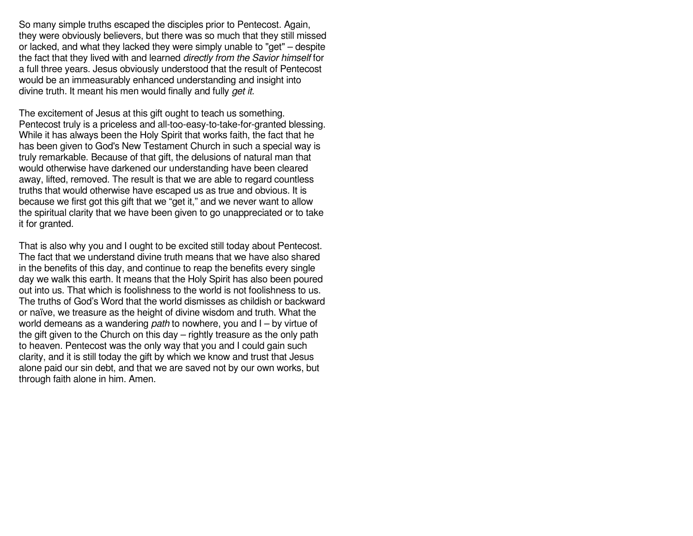So many simple truths escaped the disciples prior to Pentecost. Again, they were obviously believers, but there was so much that they still missed or lacked, and what they lacked they were simply unable to "get" – despite the fact that they lived with and learned *directly from the Savior himself* for a full three years. Jesus obviously understood that the result of Pentecost would be an immeasurably enhanced understanding and insight into divine truth. It meant his men would finally and fully *get it.*

The excitement of Jesus at this gift ought to teach us something. Pentecost truly is a priceless and all-too-easy-to-take-for-granted blessing. While it has always been the Holy Spirit that works faith, the fact that he has been given to God's New Testament Church in such a special way is truly remarkable. Because of that gift, the delusions of natural man that would otherwise have darkened our understanding have been cleared away, lifted, removed. The result is that we are able to regard countless truths that would otherwise have escaped us as true and obvious. It is because we first got this gift that we "get it," and we never want to allow the spiritual clarity that we have been given to go unappreciated or to take it for granted.

That is also why you and I ought to be excited still today about Pentecost. The fact that we understand divine truth means that we have also shared in the benefits of this day, and continue to reap the benefits every single day we walk this earth. It means that the Holy Spirit has also been poured out into us. That which is foolishness to the world is not foolishness to us. The truths of God's Word that the world dismisses as childish or backward or naïve, we treasure as the height of divine wisdom and truth. What the world demeans as a wandering *path* to nowhere, you and I – by virtue of the gift given to the Church on this day – rightly treasure as the only path to heaven. Pentecost was the only way that you and I could gain such clarity, and it is still today the gift by which we know and trust that Jesus alone paid our sin debt, and that we are saved not by our own works, but through faith alone in him. Amen.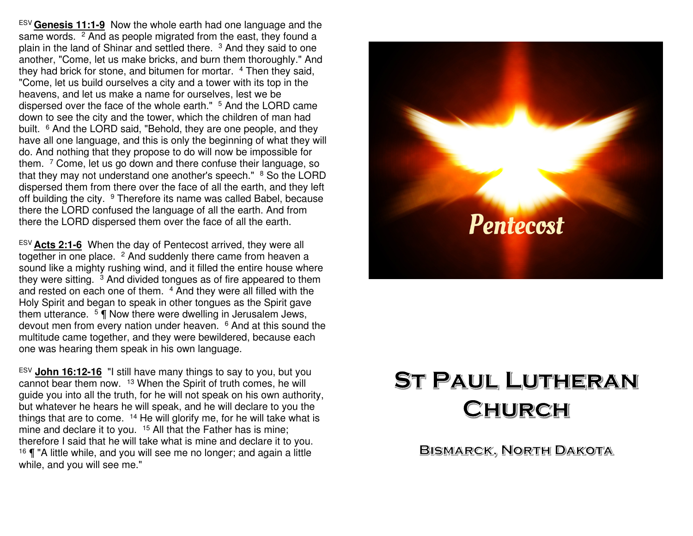ESV **Genesis 11:1-9** Now the whole earth had one language and the same words. <sup>2</sup> And as people migrated from the east, they found a plain in the land of Shinar and settled there. <sup>3</sup> And they said to one another, "Come, let us make bricks, and burn them thoroughly." And they had brick for stone, and bitumen for mortar. <sup>4</sup> Then they said, "Come, let us build ourselves a city and a tower with its top in the heavens, and let us make a name for ourselves, lest we be dispersed over the face of the whole earth." <sup>5</sup> And the LORD came down to see the city and the tower, which the children of man had built. <sup>6</sup> And the LORD said, "Behold, they are one people, and they have all one language, and this is only the beginning of what they will do. And nothing that they propose to do will now be impossible for them. <sup>7</sup> Come, let us go down and there confuse their language, so that they may not understand one another's speech." <sup>8</sup> So the LORD dispersed them from there over the face of all the earth, and they left off building the city. <sup>9</sup> Therefore its name was called Babel, because there the LORD confused the language of all the earth. And from there the LORD dispersed them over the face of all the earth.

ESV **Acts 2:1-6** When the day of Pentecost arrived, they were all together in one place. <sup>2</sup> And suddenly there came from heaven a sound like a mighty rushing wind, and it filled the entire house where they were sitting. 3 And divided tongues as of fire appeared to them and rested on each one of them. 4 And they were all filled with the Holy Spirit and began to speak in other tongues as the Spirit gave them utterance. 5 ¶ Now there were dwelling in Jerusalem Jews, devout men from every nation under heaven. <sup>6</sup> And at this sound the multitude came together, and they were bewildered, because each one was hearing them speak in his own language.

ESV **John 16:12-16** "I still have many things to say to you, but you cannot bear them now. 13 When the Spirit of truth comes, he will guide you into all the truth, for he will not speak on his own authority, but whatever he hears he will speak, and he will declare to you the things that are to come. <sup>14</sup> He will glorify me, for he will take what is mine and declare it to you. <sup>15</sup> All that the Father has is mine; therefore I said that he will take what is mine and declare it to you. <sup>16</sup>  $\P$  "A little while, and you will see me no longer; and again a little while, and you will see me."



# **ST PAUL LUTHERAN** CHURCH

**BISMARCK, NORTH DAKOTA**